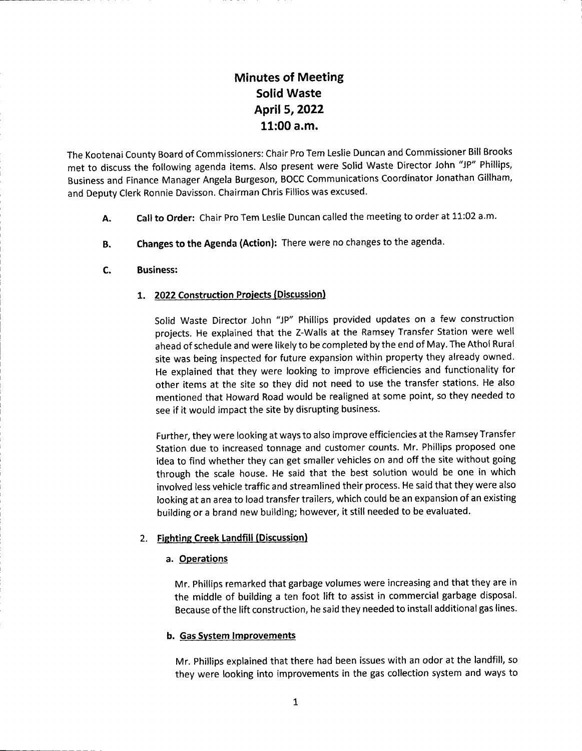# Minutes of Meeting Solid Waste April 5,2022  $11:00$  a.m.

The Kootenai County Board of Commissioners: Chair Pro Tem Leslie Duncan and Commissioner Bill Brooks met to discuss the following agenda items. Also present were Solid Waste Director John "JP" Phillips, Business and Finance Manager Angela Burgeson, BOCC Communications Coordinator Jonathan Gillham, and Deputy Clerk Ronnie Davisson. Chairman Chris Fillios was excused.

- Call to Order: Chair Pro Tem Leslie Duncan called the meeting to order at 11:02 a.m. A.
- Changes to the Agenda (Action): There were no changes to the agenda. B.
- Business: c.

## 1. 2022 Construction Projects (Discussion)

Solid Waste Director John "JP" Phillips provided updates on a few construction projects. He explained that the Z-Walls at the Ramsey Transfer Station were well ahead of schedule and were likely to be completed by the end of May. The Athol Rural site was being inspected for future expansion within property they already owned. He explained that they were looking to improve efficiencies and functionality for other items at the site so they did not need to use the transfer stations. He also mentioned that Howard Road would be realigned at some point, so they needed to see if it would impact the site by disrupting business.

Further, they were looking at ways to also improve efficiencies at the Ramsey Transfer Station due to increased tonnage and customer counts. Mr. Phillips proposed one idea to find whether they can get smaller vehicles on and off the site without going through the scale house. He said that the best solution would be one in which involved less vehicle traffic and streamlined their process. He said that they were also looking at an area to load transfer trailers, which could be an expansion of an existing building or a brand new building; however, it still needed to be evaluated.

## 2. Fightine Creek Landfill (Discussion)

## a. Operations

Mr. Phillips remarked that garbage volumes were increasing and that they are in the middle of building a ten foot lift to assist in commercial garbage disposal. Because of the lift construction, he said they needed to install additionalgas lines.

## b. Gas Svstem Improvements

Mr. Phillips explained that there had been issues with an odor at the landfill, so they were looking into improvements in the gas collection system and ways to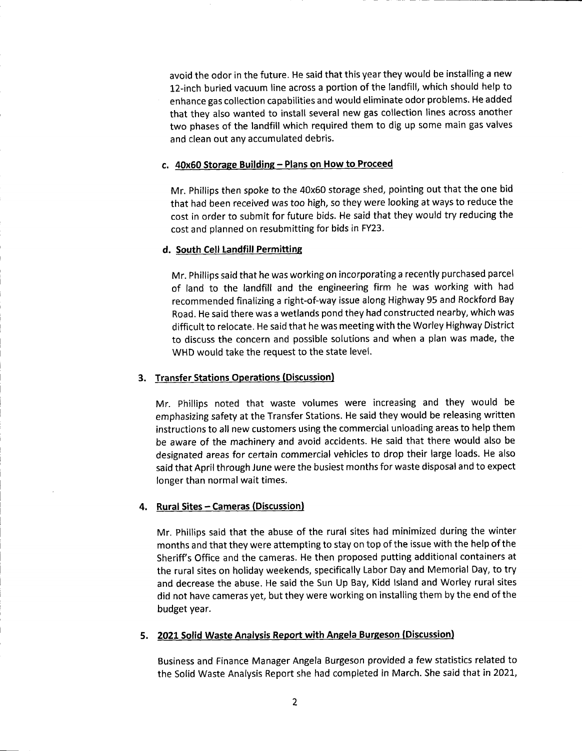avoid the odor in the future. He said that this year they would be installing a new 12-inch buried vacuum line across a portion of the landfill, which should help to enhance gas collection capabilities and would eliminate odor problems. He added that they also wanted to install several new gas collection lines across another two phases of the landfill which required them to dig up some main gas valves and clean out any accumulated debris.

#### c. 40x50 Storase Buildine - Plans on How to Proceed

Mr. Phillips then spoke to the 40x60 storage shed, pointing out that the one bid that had been received was too high, so they were looking at ways to reduce the cost in order to submit for future bids. He said that they would try reducing the cost and planned on resubmitting for bids in FY23.

## d. South Cell Landfill Permitting

Mr. Phillips said that he was working on incorporating a recently purchased parcel of land to the landfill and the engineering firm he was working with had recommended finalizing a right-of-way issue along Highway 95 and Rockford Bay Road. He said there was a wetlands pond they had constructed nearby, which was difficult to relocate. He said that he was meeting with the Worley Highway District to discuss the concern and possible solutions and when a plan was made, the WHD would take the request to the state level.

## 3. Transfer Stations Operations (Discussion)

Mr. Phillips noted that waste volumes were increasing and they would be emphasizing safety at the Transfer Stations. He said they would be releasing written instructions to all new customers using the commercial unloading areas to help them be aware of the machinery and avoid accidents. He said that there would also be designated areas for certain commercial vehicles to drop their large loads. He also said that April through June were the busiest months for waste disposal and to expect longer than normal wait times.

## 4. Rural Sites - Cameras (Discussion)

Mr. Phillips said that the abuse of the rural sites had minimized during the winter months and that they were attempting to stay on top of the issue with the help of the Sheriff's Office and the cameras. He then proposed putting additional containers at the rural sites on holiday weekends, specifically Labor Day and Memorial Day, to try and decrease the abuse. He said the Sun Up Bay, Kidd lsland and Worley rural sites did not have cameras yet, but they were working on installing them by the end of the budget year.

## 5. 2021 Solid Waste Analysis Report with Angela Burgeson (Discussion)

Business and Finance Manager Angela Burgeson provided a few statistics related to the Solid Waste Analysis Report she had completed in March. She said that in 2021,